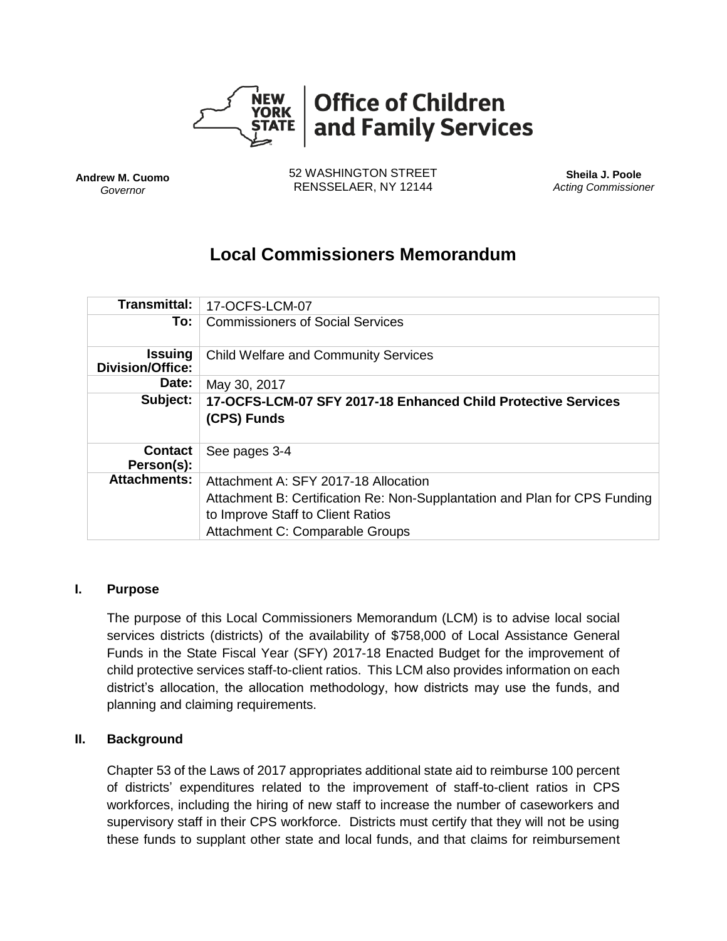

**Andrew M. Cuomo** *Governor*

52 WASHINGTON STREET RENSSELAER, NY 12144

**Sheila J. Poole** *Acting Commissioner*

# **Local Commissioners Memorandum**

| Transmittal:                              | 17-OCFS-LCM-07                                                                                                                                                                             |
|-------------------------------------------|--------------------------------------------------------------------------------------------------------------------------------------------------------------------------------------------|
| To:                                       | <b>Commissioners of Social Services</b>                                                                                                                                                    |
| <b>Issuing</b><br><b>Division/Office:</b> | <b>Child Welfare and Community Services</b>                                                                                                                                                |
| Date:                                     | May 30, 2017                                                                                                                                                                               |
| Subject:                                  | 17-OCFS-LCM-07 SFY 2017-18 Enhanced Child Protective Services<br>(CPS) Funds                                                                                                               |
| <b>Contact</b><br>Person(s):              | See pages 3-4                                                                                                                                                                              |
| <b>Attachments:</b>                       | Attachment A: SFY 2017-18 Allocation<br>Attachment B: Certification Re: Non-Supplantation and Plan for CPS Funding<br>to Improve Staff to Client Ratios<br>Attachment C: Comparable Groups |

## **I. Purpose**

The purpose of this Local Commissioners Memorandum (LCM) is to advise local social services districts (districts) of the availability of \$758,000 of Local Assistance General Funds in the State Fiscal Year (SFY) 2017-18 Enacted Budget for the improvement of child protective services staff-to-client ratios. This LCM also provides information on each district's allocation, the allocation methodology, how districts may use the funds, and planning and claiming requirements.

## **II. Background**

Chapter 53 of the Laws of 2017 appropriates additional state aid to reimburse 100 percent of districts' expenditures related to the improvement of staff-to-client ratios in CPS workforces, including the hiring of new staff to increase the number of caseworkers and supervisory staff in their CPS workforce. Districts must certify that they will not be using these funds to supplant other state and local funds, and that claims for reimbursement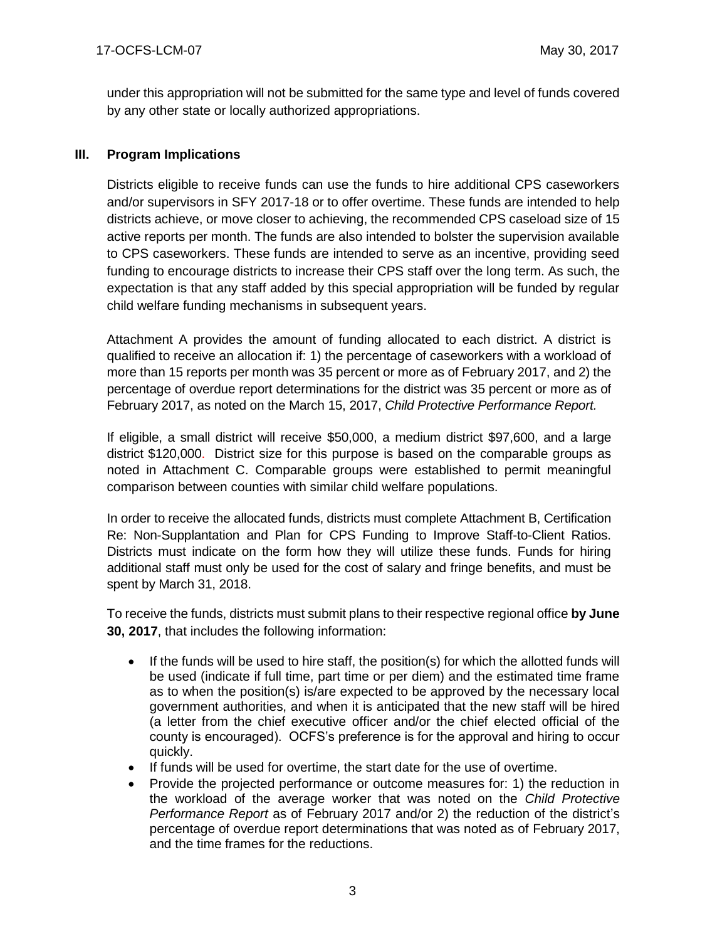under this appropriation will not be submitted for the same type and level of funds covered by any other state or locally authorized appropriations.

# **III. Program Implications**

Districts eligible to receive funds can use the funds to hire additional CPS caseworkers and/or supervisors in SFY 2017-18 or to offer overtime. These funds are intended to help districts achieve, or move closer to achieving, the recommended CPS caseload size of 15 active reports per month. The funds are also intended to bolster the supervision available to CPS caseworkers. These funds are intended to serve as an incentive, providing seed funding to encourage districts to increase their CPS staff over the long term. As such, the expectation is that any staff added by this special appropriation will be funded by regular child welfare funding mechanisms in subsequent years.

Attachment A provides the amount of funding allocated to each district. A district is qualified to receive an allocation if: 1) the percentage of caseworkers with a workload of more than 15 reports per month was 35 percent or more as of February 2017, and 2) the percentage of overdue report determinations for the district was 35 percent or more as of February 2017, as noted on the March 15, 2017, *Child Protective Performance Report.* 

If eligible, a small district will receive \$50,000, a medium district \$97,600, and a large district \$120,000. District size for this purpose is based on the comparable groups as noted in Attachment C. Comparable groups were established to permit meaningful comparison between counties with similar child welfare populations.

In order to receive the allocated funds, districts must complete Attachment B, Certification Re: Non-Supplantation and Plan for CPS Funding to Improve Staff-to-Client Ratios. Districts must indicate on the form how they will utilize these funds. Funds for hiring additional staff must only be used for the cost of salary and fringe benefits, and must be spent by March 31, 2018.

To receive the funds, districts must submit plans to their respective regional office **by June 30, 2017**, that includes the following information:

- $\bullet$  If the funds will be used to hire staff, the position(s) for which the allotted funds will be used (indicate if full time, part time or per diem) and the estimated time frame as to when the position(s) is/are expected to be approved by the necessary local government authorities, and when it is anticipated that the new staff will be hired (a letter from the chief executive officer and/or the chief elected official of the county is encouraged). OCFS's preference is for the approval and hiring to occur quickly.
- If funds will be used for overtime, the start date for the use of overtime.
- Provide the projected performance or outcome measures for: 1) the reduction in the workload of the average worker that was noted on the *Child Protective Performance Report* as of February 2017 and/or 2) the reduction of the district's percentage of overdue report determinations that was noted as of February 2017, and the time frames for the reductions.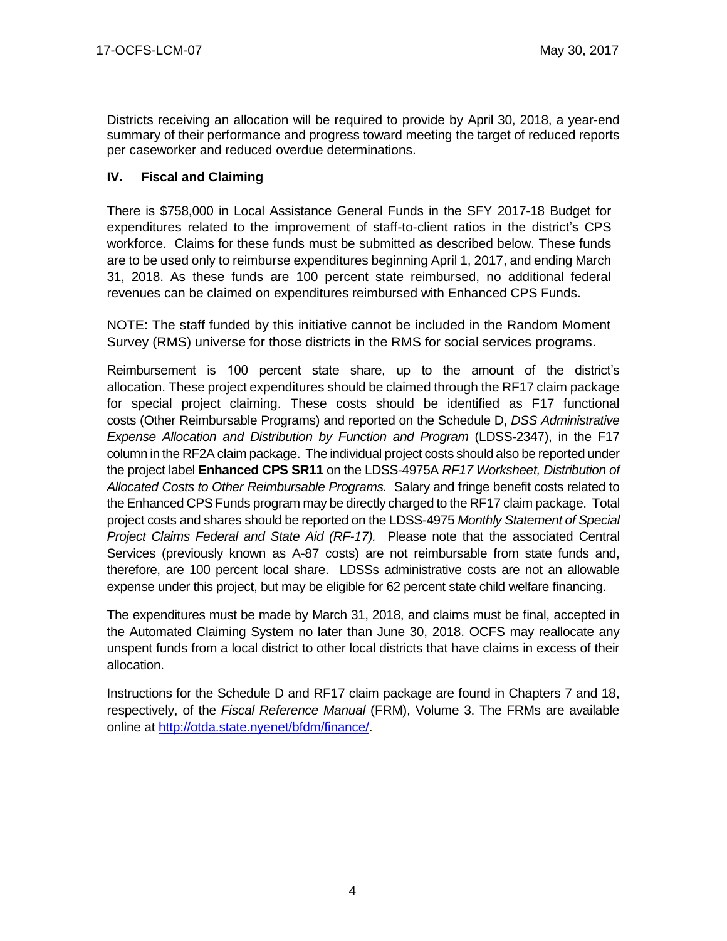Districts receiving an allocation will be required to provide by April 30, 2018, a year-end summary of their performance and progress toward meeting the target of reduced reports per caseworker and reduced overdue determinations.

# **IV. Fiscal and Claiming**

There is \$758,000 in Local Assistance General Funds in the SFY 2017-18 Budget for expenditures related to the improvement of staff-to-client ratios in the district's CPS workforce. Claims for these funds must be submitted as described below. These funds are to be used only to reimburse expenditures beginning April 1, 2017, and ending March 31, 2018. As these funds are 100 percent state reimbursed, no additional federal revenues can be claimed on expenditures reimbursed with Enhanced CPS Funds.

NOTE: The staff funded by this initiative cannot be included in the Random Moment Survey (RMS) universe for those districts in the RMS for social services programs.

Reimbursement is 100 percent state share, up to the amount of the district's allocation. These project expenditures should be claimed through the RF17 claim package for special project claiming. These costs should be identified as F17 functional costs (Other Reimbursable Programs) and reported on the Schedule D, *DSS Administrative Expense Allocation and Distribution by Function and Program* (LDSS-2347), in the F17 column in the RF2A claim package. The individual project costs should also be reported under the project label **Enhanced CPS SR11** on the LDSS-4975A *RF17 Worksheet, Distribution of Allocated Costs to Other Reimbursable Programs.* Salary and fringe benefit costs related to the Enhanced CPS Funds program may be directly charged to the RF17 claim package. Total project costs and shares should be reported on the LDSS-4975 *Monthly Statement of Special Project Claims Federal and State Aid (RF-17).* Please note that the associated Central Services (previously known as A-87 costs) are not reimbursable from state funds and, therefore, are 100 percent local share. LDSSs administrative costs are not an allowable expense under this project, but may be eligible for 62 percent state child welfare financing.

The expenditures must be made by March 31, 2018, and claims must be final, accepted in the Automated Claiming System no later than June 30, 2018. OCFS may reallocate any unspent funds from a local district to other local districts that have claims in excess of their allocation.

Instructions for the Schedule D and RF17 claim package are found in Chapters 7 and 18, respectively, of the *Fiscal Reference Manual* (FRM), Volume 3. The FRMs are available online at [http://otda.state.nyenet/bfdm/finance/.](http://otda.state.nyenet/bfdm/finance/)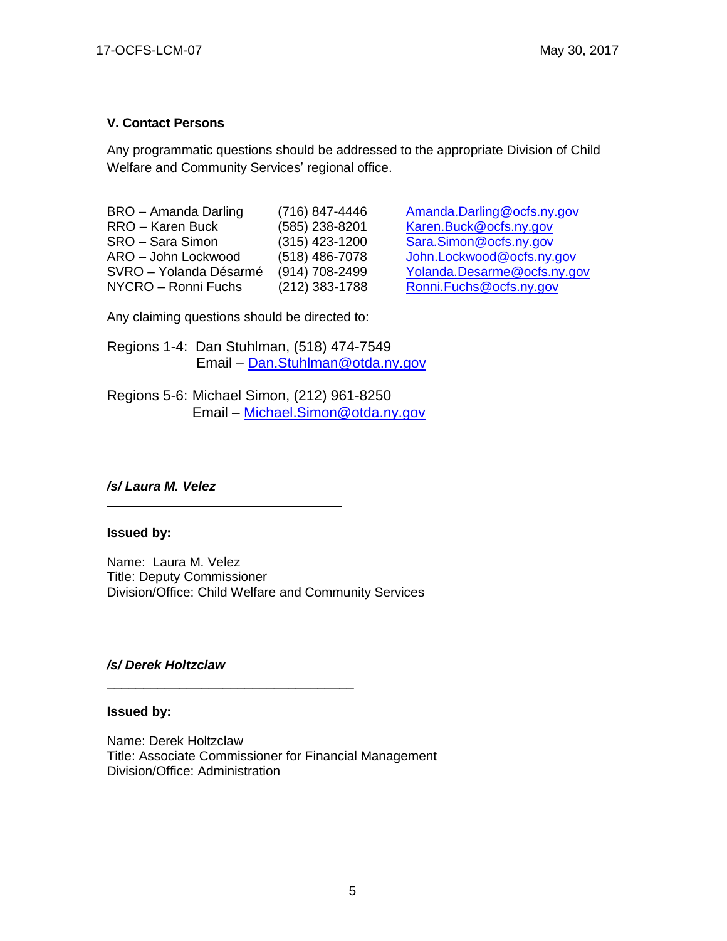# **V. Contact Persons**

Any programmatic questions should be addressed to the appropriate Division of Child Welfare and Community Services' regional office.

BRO – Amanda Darling (716) 847-4446 [Amanda.Darling@ocfs.ny.gov](mailto:Amanda.Darling@ocfs.ny.gov) RRO – Karen Buck (585) 238-8201 [Karen.Buck@ocfs.ny.gov](mailto:Karen.Buck@ocfs.ny.gov) SRO – Sara Simon (315) 423-1200 [Sara.Simon@ocfs.ny.gov](mailto:Sara.Simon@ocfs.ny.gov)<br>ARO – John Lockwood (518) 486-7078 John Lockwood@ocfs.ny. SVRO – Yolanda Désarmé (914) 708-2499 [Yolanda.Desarme@ocfs.ny.gov](mailto:Yolanda.Desarme@ocfs.ny.gov) NYCRO – Ronni Fuchs (212) 383-1788 [Ronni.Fuchs@ocfs.ny.gov](mailto:Ronni.Fuchs@ocfs.ny.gov)

 $(518)$  486-7078 [John.Lockwood@ocfs.ny.gov](mailto:John.Lockwood@ocfs.ny.gov)

Any claiming questions should be directed to:

Regions 1-4: Dan Stuhlman, (518) 474-7549 Email – [Dan.Stuhlman@otda.ny.gov](mailto:Dan.Stuhlman@otda.ny.gov)

Regions 5-6: Michael Simon, (212) 961-8250 Email – [Michael.Simon@otda.ny.gov](mailto:Michael.Simon@otda.ny.gov)

## */s/ Laura M. Velez*

## **Issued by:**

Name: Laura M. Velez Title: Deputy Commissioner Division/Office: Child Welfare and Community Services

**\_\_\_\_\_\_\_\_\_\_\_\_\_\_\_\_\_\_\_\_\_\_\_\_\_\_\_\_\_\_\_\_\_\_**

## */s/ Derek Holtzclaw*

#### **Issued by:**

Name: Derek Holtzclaw Title: Associate Commissioner for Financial Management Division/Office: Administration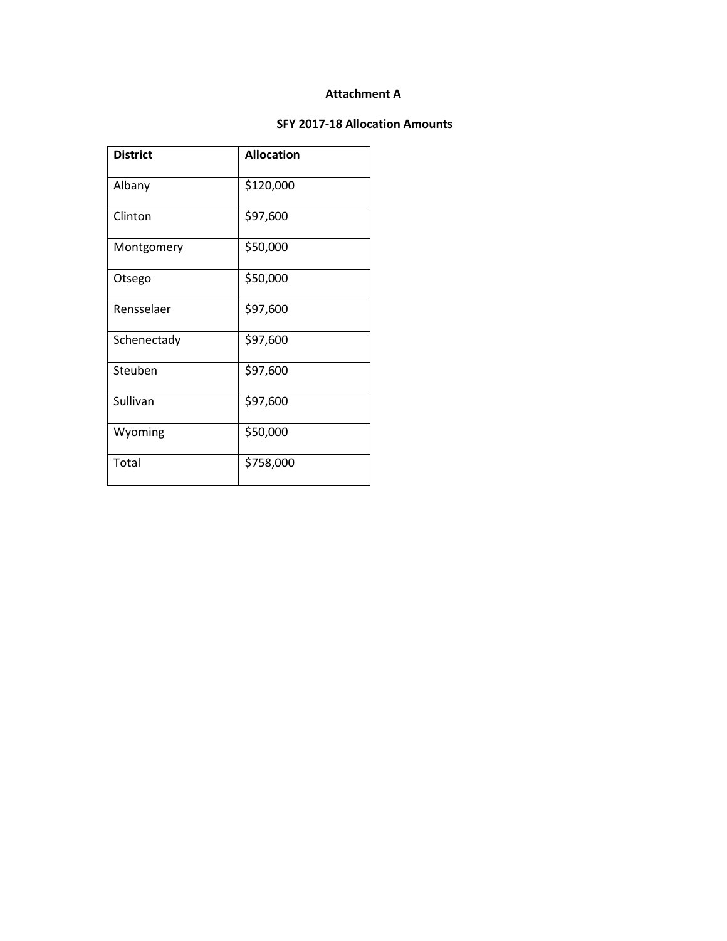#### **Attachment A**

#### **SFY 2017-18 Allocation Amounts**

| <b>District</b> | <b>Allocation</b> |  |  |
|-----------------|-------------------|--|--|
| Albany          | \$120,000         |  |  |
| Clinton         | \$97,600          |  |  |
| Montgomery      | \$50,000          |  |  |
| Otsego          | \$50,000          |  |  |
| Rensselaer      | \$97,600          |  |  |
| Schenectady     | \$97,600          |  |  |
| Steuben         | \$97,600          |  |  |
| Sullivan        | \$97,600          |  |  |
| Wyoming         | \$50,000          |  |  |
| Total           | \$758,000         |  |  |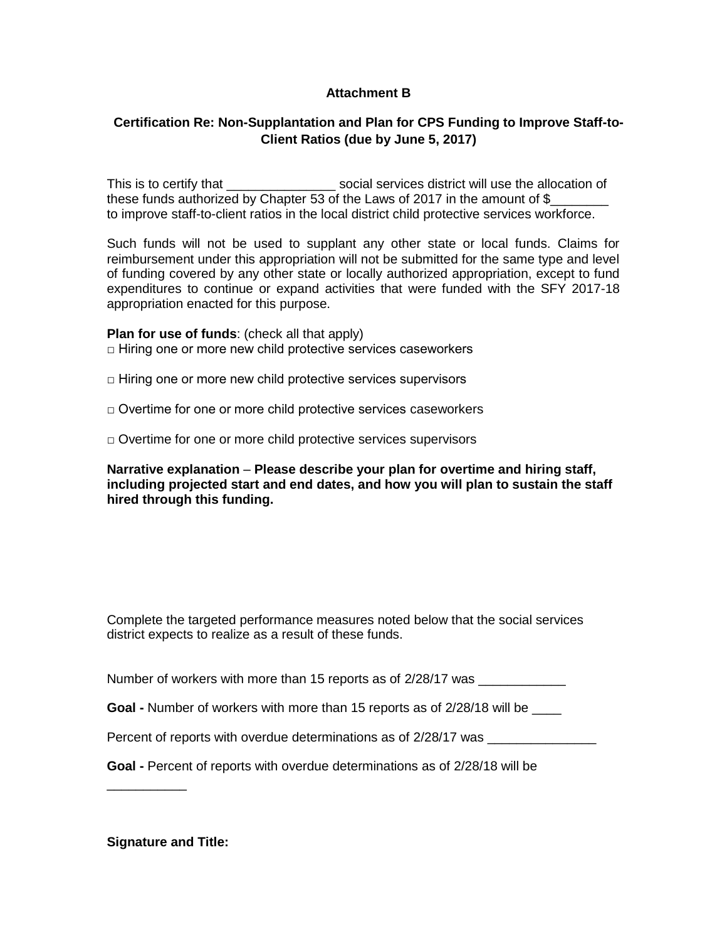## **Attachment B**

# **Certification Re: Non-Supplantation and Plan for CPS Funding to Improve Staff-to-Client Ratios (due by June 5, 2017)**

This is to certify that This is that the social services district will use the allocation of these funds authorized by Chapter 53 of the Laws of 2017 in the amount of  $\$$ to improve staff-to-client ratios in the local district child protective services workforce.

Such funds will not be used to supplant any other state or local funds. Claims for reimbursement under this appropriation will not be submitted for the same type and level of funding covered by any other state or locally authorized appropriation, except to fund expenditures to continue or expand activities that were funded with the SFY 2017-18 appropriation enacted for this purpose.

#### **Plan for use of funds**: (check all that apply)

 $\Box$  Hiring one or more new child protective services caseworkers

 $\Box$  Hiring one or more new child protective services supervisors

□ Overtime for one or more child protective services caseworkers

□ Overtime for one or more child protective services supervisors

**Narrative explanation** – **Please describe your plan for overtime and hiring staff, including projected start and end dates, and how you will plan to sustain the staff hired through this funding.**

Complete the targeted performance measures noted below that the social services district expects to realize as a result of these funds.

Number of workers with more than 15 reports as of 2/28/17 was \_\_\_\_\_\_\_\_\_\_\_\_\_\_\_\_\_\_

**Goal -** Number of workers with more than 15 reports as of 2/28/18 will be \_\_\_\_

Percent of reports with overdue determinations as of 2/28/17 was

**Goal -** Percent of reports with overdue determinations as of 2/28/18 will be

**Signature and Title:**

\_\_\_\_\_\_\_\_\_\_\_